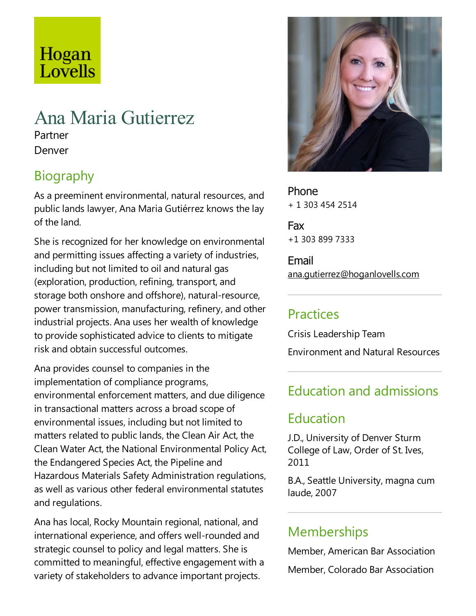# Hogan Lovells

# Ana Maria Gutierrez

Partner Denver

# Biography

As a preeminent environmental, natural resources, and public lands lawyer, Ana Maria Gutiérrez knows the lay of the land.

She is recognized for her knowledge on environmental and permitting issues affecting a variety of industries, including but not limited to oil and natural gas (exploration, production, refining, transport, and storage both onshore and offshore), natural-resource, power transmission, manufacturing, refinery,and other industrial projects. Ana uses her wealth of knowledge to provide sophisticated advice to clients to mitigate risk and obtain successful outcomes.

Ana provides counsel to companies in the implementation of compliance programs, environmental enforcement matters, and due diligence in transactional matters across a broad scope of environmental issues, including but not limited to matters related to public lands, the Clean Air Act, the Clean Water Act, the National Environmental Policy Act, the Endangered Species Act, the Pipeline and Hazardous Materials Safety Administration regulations, as well as various other federal environmental statutes and regulations.

Ana has local, Rocky Mountain regional, national, and international experience, and offers well-rounded and strategic counsel to policy and legal matters. She is committed to meaningful, effective engagement with a variety of stakeholders to advance important projects.



Phone + 1 303 454 2514

Fax +1 303 899 7333

Email ana.gutierrez@hoganlovells.com

## Practices

Crisis Leadership Team **Environment and Natural Resources** 

# Education and admissions

## Education

J.D., University of Denver Sturm College of Law, Order of St. Ives, 2011

B.A., Seattle University, magna cum laude, 2007

#### Memberships

Member, American Bar Association Member, Colorado Bar Association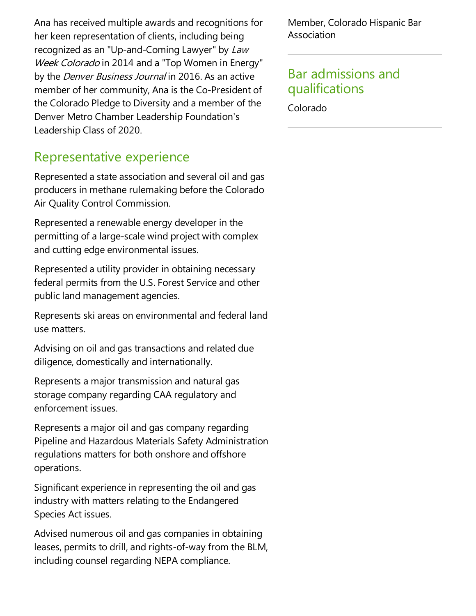Ana has received multiple awards and recognitions for her keen representation of clients, including being recognized as an "Up-and-Coming Lawyer" by Law Week Colorado in 2014 and a "Top Women in Energy" by the *Denver Business Journal* in 2016. As an active member of her community, Ana is the Co-President of the Colorado Pledge to Diversity and a member of the Denver Metro Chamber Leadership Foundation's Leadership Class of 2020.

#### Representative experience

Represented a state association and several oil and gas producers in methane rulemaking before the Colorado Air Quality Control Commission.

Represented a renewable energy developer in the permitting of a large-scale wind project with complex and cutting edge environmental issues.

Represented a utility provider in obtaining necessary federal permits from the U.S. Forest Service and other public land management agencies.

Represents ski areas on environmental and federal land use matters.

Advising on oil and gas transactions and related due diligence, domestically and internationally.

Represents a major transmission and natural gas storage company regarding CAA regulatory and enforcement issues.

Represents a major oil and gas company regarding Pipeline and Hazardous Materials Safety Administration regulations matters for both onshore and offshore operations.

Significant experience in representing the oil and gas industry with matters relating to the Endangered Species Act issues.

Advised numerous oil and gas companies in obtaining leases, permits to drill, and rights-of-way from the BLM, including counsel regarding NEPA compliance.

Member, Colorado Hispanic Bar Association

#### Bar admissions and qualifications

Colorado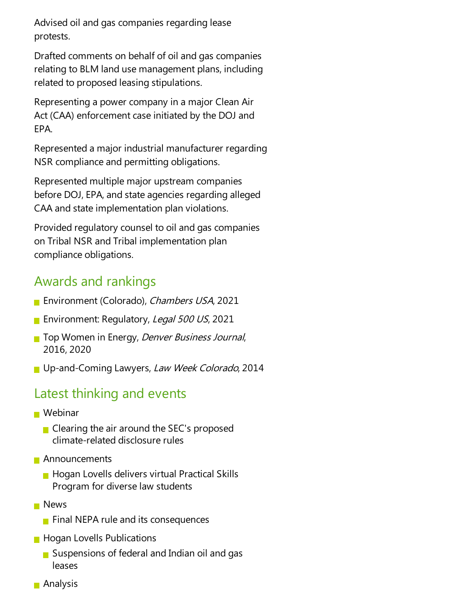Advised oil and gas companies regarding lease protests.

Drafted comments on behalf of oil and gas companies relating to BLM land use management plans, including related to proposed leasing stipulations.

Representing a power company in a major Clean Air Act (CAA) enforcement case initiated by the DOJ and EPA.

Represented a major industrial manufacturer regarding NSR compliance and permitting obligations.

Represented multiple major upstream companies before DOJ, EPA, and state agencies regarding alleged CAA and state implementation plan violations.

Provided regulatory counsel to oil and gas companies on Tribal NSR and Tribal implementation plan compliance obligations.

### Awards and rankings

- **Environment (Colorado), Chambers USA, 2021**
- **Environment: Regulatory, Legal 500 US, 2021**
- **The Women in Energy, Denver Business Journal,** 2016, 2020
- Up-and-Coming Lawyers, Law Week Colorado, 2014

## Latest thinking and events

- Webinar
	- $\blacksquare$  Clearing the air around the SEC's proposed climate-related disclosure rules
- **Announcements** 
	- **Hogan Lovells delivers virtual Practical Skills** Program for diverselaw students
- **News** 
	- $\blacksquare$  Final NEPA rule and its consequences
- **Hogan Lovells Publications** 
	- Suspensions of federal and Indian oil and gas leases
- **Analysis**